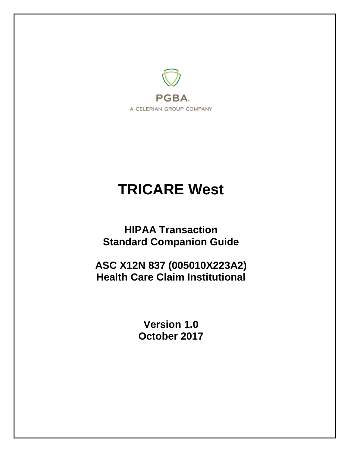

# **TRICARE West**

**HIPAA Transaction Standard Companion Guide**

**ASC X12N 837 (005010X223A2) Health Care Claim Institutional**

> **Version 1.0 October 2017**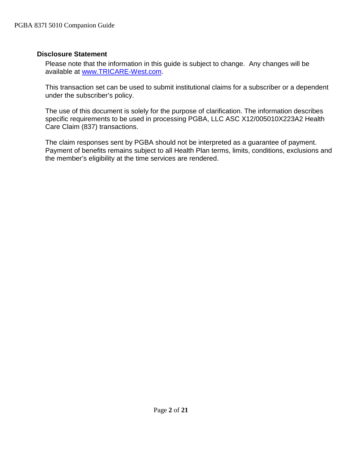#### <span id="page-1-0"></span>**Disclosure Statement**

Please note that the information in this guide is subject to change. Any changes will be available at [www.TRICARE-West.com.](http://www.mytricare.com/)

This transaction set can be used to submit institutional claims for a subscriber or a dependent under the subscriber's policy.

The use of this document is solely for the purpose of clarification. The information describes specific requirements to be used in processing PGBA, LLC ASC X12/005010X223A2 Health Care Claim (837) transactions.

The claim responses sent by PGBA should not be interpreted as a guarantee of payment. Payment of benefits remains subject to all Health Plan terms, limits, conditions, exclusions and the member's eligibility at the time services are rendered.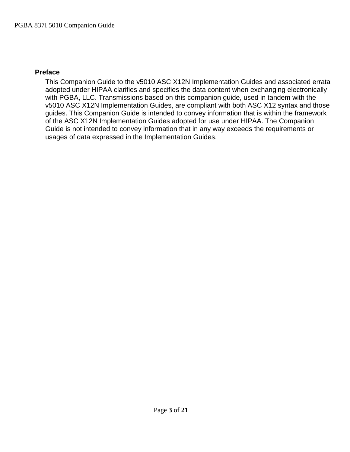## <span id="page-2-0"></span>**Preface**

This Companion Guide to the v5010 ASC X12N Implementation Guides and associated errata adopted under HIPAA clarifies and specifies the data content when exchanging electronically with PGBA, LLC. Transmissions based on this companion guide, used in tandem with the v5010 ASC X12N Implementation Guides, are compliant with both ASC X12 syntax and those guides. This Companion Guide is intended to convey information that is within the framework of the ASC X12N Implementation Guides adopted for use under HIPAA. The Companion Guide is not intended to convey information that in any way exceeds the requirements or usages of data expressed in the Implementation Guides.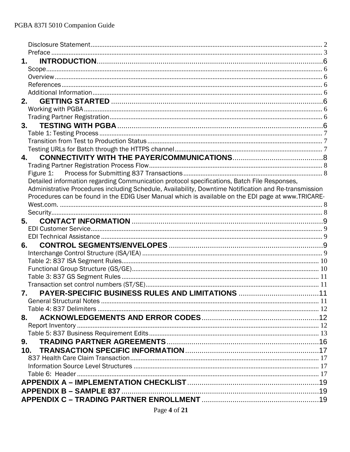| 1.                                                                                                    |  |
|-------------------------------------------------------------------------------------------------------|--|
|                                                                                                       |  |
|                                                                                                       |  |
|                                                                                                       |  |
|                                                                                                       |  |
|                                                                                                       |  |
|                                                                                                       |  |
|                                                                                                       |  |
|                                                                                                       |  |
|                                                                                                       |  |
|                                                                                                       |  |
|                                                                                                       |  |
| 4.                                                                                                    |  |
|                                                                                                       |  |
|                                                                                                       |  |
| Detailed information regarding Communication protocol specifications, Batch File Responses,           |  |
| Administrative Procedures including Schedule, Availability, Downtime Notification and Re-transmission |  |
| Procedures can be found in the EDIG User Manual which is available on the EDI page at www.TRICARE-    |  |
|                                                                                                       |  |
|                                                                                                       |  |
| 5.                                                                                                    |  |
|                                                                                                       |  |
|                                                                                                       |  |
|                                                                                                       |  |
|                                                                                                       |  |
|                                                                                                       |  |
|                                                                                                       |  |
|                                                                                                       |  |
|                                                                                                       |  |
| 7.                                                                                                    |  |
|                                                                                                       |  |
|                                                                                                       |  |
| 8.                                                                                                    |  |
|                                                                                                       |  |
|                                                                                                       |  |
| 9.                                                                                                    |  |
|                                                                                                       |  |
|                                                                                                       |  |
|                                                                                                       |  |
|                                                                                                       |  |
|                                                                                                       |  |
|                                                                                                       |  |
|                                                                                                       |  |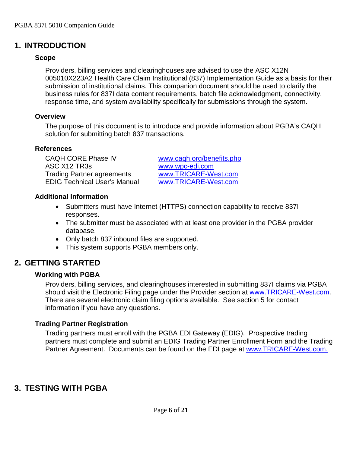# <span id="page-5-1"></span><span id="page-5-0"></span>**1. INTRODUCTION**

## **Scope**

Providers, billing services and clearinghouses are advised to use the ASC X12N 005010X223A2 Health Care Claim Institutional (837) Implementation Guide as a basis for their submission of institutional claims. This companion document should be used to clarify the business rules for 837I data content requirements, batch file acknowledgment, connectivity, response time, and system availability specifically for submissions through the system.

## <span id="page-5-2"></span>**Overview**

The purpose of this document is to introduce and provide information about PGBA's CAQH solution for submitting batch 837 transactions.

## <span id="page-5-3"></span>**References**

CAQH CORE Phase IV [www.caqh.org/benefits.php](http://www.caqh.org/benefits.php) ASC X12 TR3s [www.wpc-edi.com](http://www.wpc-edi.com/) Trading Partner agreements [www.TRICARE-West.com](http://www.mytricare.com/) EDIG Technical User's Manual [www.TRICARE-West.com](http://www.mytricare.com/)

## <span id="page-5-4"></span>**Additional Information**

- Submitters must have Internet (HTTPS) connection capability to receive 837I responses.
- The submitter must be associated with at least one provider in the PGBA provider database.
- Only batch 837 inbound files are supported.
- This system supports PGBA members only.

# <span id="page-5-6"></span><span id="page-5-5"></span>**2. GETTING STARTED**

## **Working with PGBA**

Providers, billing services, and clearinghouses interested in submitting 837I claims via PGBA should visit the Electronic Filing page under the Provider section at [www.TRICARE-West.com.](http://www.tricare-west.coma/) There are several electronic claim filing options available. See section 5 for contact information if you have any questions.

## <span id="page-5-7"></span>**Trading Partner Registration**

Trading partners must enroll with the PGBA EDI Gateway (EDIG). Prospective trading partners must complete and submit an EDIG Trading Partner Enrollment Form and the Trading Partner Agreement. Documents can be found on the EDI page at [www.TRICARE-West.com.](http://www.mytricare.com/)

# <span id="page-5-8"></span>**3. TESTING WITH PGBA**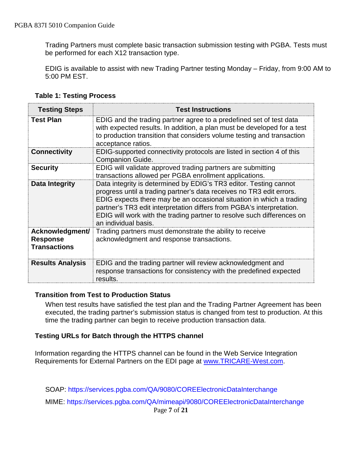Trading Partners must complete basic transaction submission testing with PGBA. Tests must be performed for each X12 transaction type.

EDIG is available to assist with new Trading Partner testing Monday – Friday, from 9:00 AM to 5:00 PM EST.

<span id="page-6-0"></span>

| <b>Testing Steps</b>                                      | <b>Test Instructions</b>                                                                                                                                                                                                                                                                                                                                                                     |
|-----------------------------------------------------------|----------------------------------------------------------------------------------------------------------------------------------------------------------------------------------------------------------------------------------------------------------------------------------------------------------------------------------------------------------------------------------------------|
| <b>Test Plan</b>                                          | EDIG and the trading partner agree to a predefined set of test data<br>with expected results. In addition, a plan must be developed for a test<br>to production transition that considers volume testing and transaction<br>acceptance ratios.                                                                                                                                               |
| <b>Connectivity</b>                                       | EDIG-supported connectivity protocols are listed in section 4 of this<br><b>Companion Guide.</b>                                                                                                                                                                                                                                                                                             |
| <b>Security</b>                                           | EDIG will validate approved trading partners are submitting<br>transactions allowed per PGBA enrollment applications.                                                                                                                                                                                                                                                                        |
| Data Integrity                                            | Data integrity is determined by EDIG's TR3 editor. Testing cannot<br>progress until a trading partner's data receives no TR3 edit errors.<br>EDIG expects there may be an occasional situation in which a trading<br>partner's TR3 edit interpretation differs from PGBA's interpretation.<br>EDIG will work with the trading partner to resolve such differences on<br>an individual basis. |
| Acknowledgment/<br><b>Response</b><br><b>Transactions</b> | Trading partners must demonstrate the ability to receive<br>acknowledgment and response transactions.                                                                                                                                                                                                                                                                                        |
| <b>Results Analysis</b>                                   | EDIG and the trading partner will review acknowledgment and<br>response transactions for consistency with the predefined expected<br>results.                                                                                                                                                                                                                                                |

**Table 1: Testing Process**

#### <span id="page-6-1"></span>**Transition from Test to Production Status**

When test results have satisfied the test plan and the Trading Partner Agreement has been executed, the trading partner's submission status is changed from test to production. At this time the trading partner can begin to receive production transaction data.

#### <span id="page-6-2"></span>**Testing URLs for Batch through the HTTPS channel**

Information regarding the HTTPS channel can be found in the Web Service Integration Requirements for External Partners on the EDI page at [www.TRICARE-West.com.](http://www.mytricare.com/)

SOAP: <https://services.pgba.com/QA/9080/COREElectronicDataInterchange>

MIME: <https://services.pgba.com/QA/mimeapi/9080/COREElectronicDataInterchange>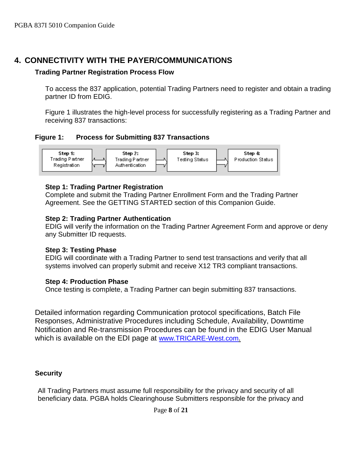# <span id="page-7-1"></span><span id="page-7-0"></span>**4. CONNECTIVITY WITH THE PAYER/COMMUNICATIONS**

#### **Trading Partner Registration Process Flow**

To access the 837 application, potential Trading Partners need to register and obtain a trading partner ID from EDIG.

Figure 1 illustrates the high-level process for successfully registering as a Trading Partner and receiving 837 transactions:

<span id="page-7-2"></span>**Figure 1: Process for Submitting 837 Transactions**



## **Step 1: Trading Partner Registration**

Complete and submit the Trading Partner Enrollment Form and the Trading Partner Agreement. See the GETTING STARTED section of this Companion Guide.

#### **Step 2: Trading Partner Authentication**

EDIG will verify the information on the Trading Partner Agreement Form and approve or deny any Submitter ID requests.

#### **Step 3: Testing Phase**

EDIG will coordinate with a Trading Partner to send test transactions and verify that all systems involved can properly submit and receive X12 TR3 compliant transactions.

#### **Step 4: Production Phase**

Once testing is complete, a Trading Partner can begin submitting 837 transactions.

<span id="page-7-3"></span>Detailed information regarding Communication protocol specifications, Batch File Responses, Administrative Procedures including Schedule, Availability, Downtime Notification and Re-transmission Procedures can be found in the EDIG User Manual which is available on the EDI page at [www.TRICARE-West.com.](http://www.mytricare.com/)

## <span id="page-7-4"></span>**Security**

All Trading Partners must assume full responsibility for the privacy and security of all beneficiary data. PGBA holds Clearinghouse Submitters responsible for the privacy and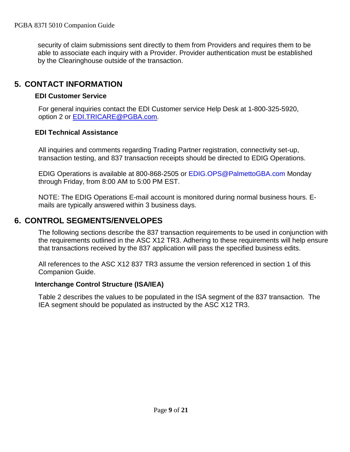security of claim submissions sent directly to them from Providers and requires them to be able to associate each inquiry with a Provider. Provider authentication must be established by the Clearinghouse outside of the transaction.

# <span id="page-8-1"></span><span id="page-8-0"></span>**5. CONTACT INFORMATION**

## **EDI Customer Service**

For general inquiries contact the EDI Customer service Help Desk at 1-800-325-5920, option 2 or [EDI.TRICARE@PGBA.com.](mailto:EDI.TRICARE@PGBA.com)

#### <span id="page-8-2"></span>**EDI Technical Assistance**

All inquiries and comments regarding Trading Partner registration, connectivity set-up, transaction testing, and 837 transaction receipts should be directed to EDIG Operations.

EDIG Operations is available at 800-868-2505 or [EDIG.OPS@PalmettoGBA.com](mailto:EDIG.OPS@PalmettoGBA.com) Monday through Friday, from 8:00 AM to 5:00 PM EST.

NOTE: The EDIG Operations E-mail account is monitored during normal business hours. Emails are typically answered within 3 business days.

# <span id="page-8-3"></span>**6. CONTROL SEGMENTS/ENVELOPES**

The following sections describe the 837 transaction requirements to be used in conjunction with the requirements outlined in the ASC X12 TR3. Adhering to these requirements will help ensure that transactions received by the 837 application will pass the specified business edits.

All references to the ASC X12 837 TR3 assume the version referenced in section 1 of this Companion Guide.

## <span id="page-8-4"></span>**Interchange Control Structure (ISA/IEA)**

Table 2 describes the values to be populated in the ISA segment of the 837 transaction. The IEA segment should be populated as instructed by the ASC X12 TR3.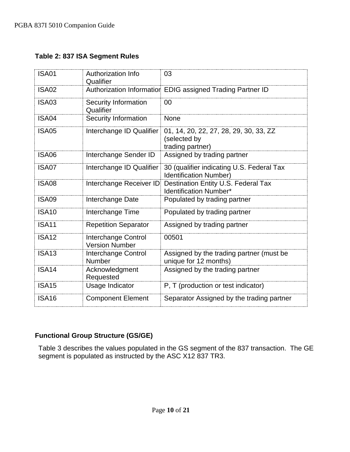#### <span id="page-9-0"></span>**Table 2: 837 ISA Segment Rules**

| <b>ISA01</b> | <b>Authorization Info</b><br>Qualifier       | 03                                                                         |
|--------------|----------------------------------------------|----------------------------------------------------------------------------|
| <b>ISA02</b> |                                              | Authorization Information EDIG assigned Trading Partner ID                 |
| <b>ISA03</b> | Security Information<br>Qualifier            | 00                                                                         |
| ISA04        | <b>Security Information</b>                  | <b>None</b>                                                                |
| <b>ISA05</b> | Interchange ID Qualifier                     | 01, 14, 20, 22, 27, 28, 29, 30, 33, ZZ<br>(selected by<br>trading partner) |
| <b>ISA06</b> | Interchange Sender ID                        | Assigned by trading partner                                                |
| ISA07        | Interchange ID Qualifier                     | 30 (qualifier indicating U.S. Federal Tax<br><b>Identification Number)</b> |
| <b>ISA08</b> | Interchange Receiver ID                      | Destination Entity U.S. Federal Tax<br><b>Identification Number*</b>       |
| <b>ISA09</b> | Interchange Date                             | Populated by trading partner                                               |
| <b>ISA10</b> | Interchange Time                             | Populated by trading partner                                               |
| <b>ISA11</b> | <b>Repetition Separator</b>                  | Assigned by trading partner                                                |
| <b>ISA12</b> | Interchange Control<br><b>Version Number</b> | 00501                                                                      |
| <b>ISA13</b> | Interchange Control<br>Number                | Assigned by the trading partner (must be<br>unique for 12 months)          |
| <b>ISA14</b> | Acknowledgment<br>Requested                  | Assigned by the trading partner                                            |
| <b>ISA15</b> | Usage Indicator                              | P, T (production or test indicator)                                        |
| <b>ISA16</b> | <b>Component Element</b>                     | Separator Assigned by the trading partner                                  |

## <span id="page-9-1"></span>**Functional Group Structure (GS/GE)**

Table 3 describes the values populated in the GS segment of the 837 transaction. The GE segment is populated as instructed by the ASC X12 837 TR3.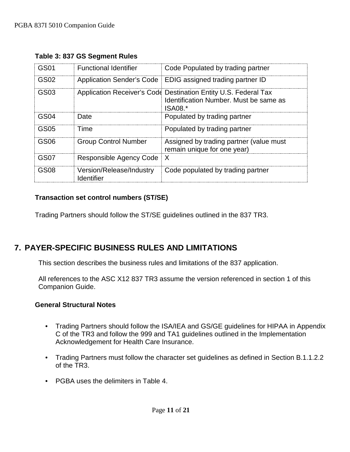| GS01             | <b>Functional Identifier</b>           | Code Populated by trading partner                                                                                    |
|------------------|----------------------------------------|----------------------------------------------------------------------------------------------------------------------|
| GS <sub>02</sub> | Application Sender's Code              | EDIG assigned trading partner ID                                                                                     |
| GS03             |                                        | Application Receiver's Code Destination Entity U.S. Federal Tax<br>Identification Number. Must be same as<br>ISA08.* |
| GS04             | Date                                   | Populated by trading partner                                                                                         |
| GS05             | Time                                   | Populated by trading partner                                                                                         |
| GS06             | <b>Group Control Number</b>            | Assigned by trading partner (value must<br>remain unique for one year)                                               |
| GS07             | Responsible Agency Code                | X                                                                                                                    |
| GS08             | Version/Release/Industry<br>Identifier | Code populated by trading partner                                                                                    |

## <span id="page-10-0"></span>**Table 3: 837 GS Segment Rules**

## <span id="page-10-1"></span>**Transaction set control numbers (ST/SE)**

Trading Partners should follow the ST/SE guidelines outlined in the 837 TR3.

# <span id="page-10-2"></span>**7. PAYER-SPECIFIC BUSINESS RULES AND LIMITATIONS**

This section describes the business rules and limitations of the 837 application.

All references to the ASC X12 837 TR3 assume the version referenced in section 1 of this Companion Guide.

#### <span id="page-10-3"></span>**General Structural Notes**

- Trading Partners should follow the ISA/IEA and GS/GE guidelines for HIPAA in Appendix C of the TR3 and follow the 999 and TA1 guidelines outlined in the Implementation Acknowledgement for Health Care Insurance.
- Trading Partners must follow the character set guidelines as defined in Section B.1.1.2.2 of the TR3.
- PGBA uses the delimiters in Table 4.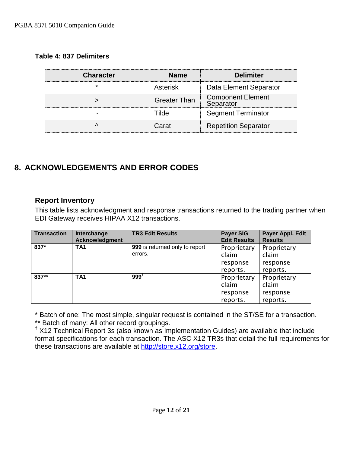## <span id="page-11-0"></span>**Table 4: 837 Delimiters**

| <b>Character</b> | <b>Name</b>         | <b>Delimiter</b>                      |
|------------------|---------------------|---------------------------------------|
|                  | Asterisk            | Data Element Separator                |
|                  | <b>Greater Than</b> | <b>Component Element</b><br>Senarator |
|                  |                     | <b>Segment Terminator</b>             |
|                  | Carat               | <b>Repetition Separator</b>           |

# <span id="page-11-1"></span>**8. ACKNOWLEDGEMENTS AND ERROR CODES**

## <span id="page-11-2"></span>**Report Inventory**

This table lists acknowledgment and response transactions returned to the trading partner when EDI Gateway receives HIPAA X12 transactions.

| <b>Transaction</b> | Interchange<br>Acknowledgment | <b>TR3 Edit Results</b>                   | <b>Payer SIG</b><br><b>Edit Results</b>      | Payer Appl. Edit<br><b>Results</b>           |
|--------------------|-------------------------------|-------------------------------------------|----------------------------------------------|----------------------------------------------|
| 837*               | TA <sub>1</sub>               | 999 is returned only to report<br>errors. | Proprietary<br>claim                         | Proprietary<br>claim                         |
|                    |                               |                                           | response<br>reports.                         | response<br>reports.                         |
| 837**              | TA <sub>1</sub>               | $999^{\dagger}$                           | Proprietary<br>claim<br>response<br>reports. | Proprietary<br>claim<br>response<br>reports. |

\* Batch of one: The most simple, singular request is contained in the ST/SE for a transaction.<br>\*\* Batch of many: All other record groupings.

 $*$  X12 Technical Report 3s (also known as Implementation Guides) are available that include format specifications for each transaction. The ASC X12 TR3s that detail the full requirements for these transactions are available at [http://store.x12.org/store.](http://store.x12.org/store/)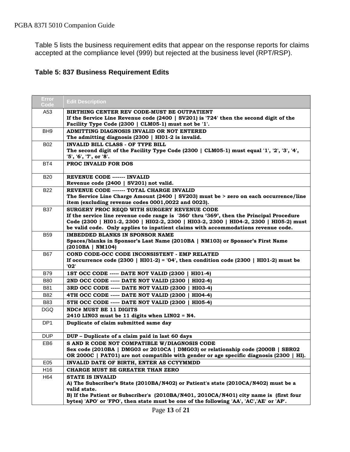Table 5 lists the business requirement edits that appear on the response reports for claims accepted at the compliance level (999) but rejected at the business level (RPT/RSP).

#### <span id="page-12-0"></span>**Table 5: 837 Business Requirement Edits**

| <b>Error</b><br>Code | <b>Edit Description</b>                                                                                                                                                                                                                                                                                               |
|----------------------|-----------------------------------------------------------------------------------------------------------------------------------------------------------------------------------------------------------------------------------------------------------------------------------------------------------------------|
| A53                  | BIRTHING CENTER REV CODE-MUST BE OUTPATIENT<br>If the Service Line Revenue code $(2400 \mid SV201)$ is '724' then the second digit of the<br>Facility Type Code (2300   CLM05-1) must not be '1'.                                                                                                                     |
| BH <sub>9</sub>      | ADMITTING DIAGNOSIS INVALID OR NOT ENTERED<br>The admitting diagnosis (2300   HI01-2 is invalid.                                                                                                                                                                                                                      |
| <b>B02</b>           | <b>INVALID BILL CLASS - OF TYPE BILL</b><br>The second digit of the Facility Type Code (2300   CLM05-1) must equal '1', '2', '3', '4',<br>'5', '6', '7', or '8'.                                                                                                                                                      |
| BT4                  | <b>PROC INVALID FOR DOS</b>                                                                                                                                                                                                                                                                                           |
| <b>B20</b>           | <b>REVENUE CODE ------- INVALID</b><br>Revenue code (2400   SV201) not valid.                                                                                                                                                                                                                                         |
| <b>B22</b>           | REVENUE CODE ------- TOTAL CHARGE INVALID<br>The Service Line Charge Amount (2400   SV203) must be > zero on each occurrence/line<br>item (excluding revenue codes 0001,0022 and 0023).                                                                                                                               |
| <b>B37</b>           | SURGERY PROC REQD WITH SURGERY REVENUE CODE<br>If the service line revenue code range is '360' thru '369', then the Principal Procedure<br>Code (2300   HI01-2, 2300   HI02-2, 2300   HI03-2, 2300   HI04-2, 2300   HI05-2) must<br>be valid code. Only applies to inpatient claims with accommodations revenue code. |
| <b>B59</b>           | <b>IMBEDDED BLANKS IN SPONSOR NAME</b><br>Spaces/blanks in Sponsor's Last Name (2010BA   NM103) or Sponsor's First Name<br>(2010BA   NM104)                                                                                                                                                                           |
| <b>B67</b>           | COND CODE-OCC CODE INCONSISTENT - EMP RELATED<br>If occurrence code $(2300 \mid H101-2) = 04$ , then condition code $(2300 \mid H101-2)$ must be<br>'02'                                                                                                                                                              |
| <b>B79</b>           | 1ST OCC CODE ----- DATE NOT VALID (2300  <br>HI01-4)                                                                                                                                                                                                                                                                  |
| <b>B80</b>           | 2ND OCC CODE ----- DATE NOT VALID (2300  <br>HI02-4)                                                                                                                                                                                                                                                                  |
| <b>B81</b>           | 3RD OCC CODE ----- DATE NOT VALID (2300  <br>HI03-4)                                                                                                                                                                                                                                                                  |
| B82                  | 4TH OCC CODE ----- DATE NOT VALID (2300)<br>HI04-4)                                                                                                                                                                                                                                                                   |
| B83                  | 5TH OCC CODE ----- DATE NOT VALID (2300)<br>HI05-4)                                                                                                                                                                                                                                                                   |
| <b>DGQ</b>           | <b>NDC# MUST BE 11 DIGITS</b><br>2410 LINO3 must be 11 digits when LINO2 = N4.                                                                                                                                                                                                                                        |
| DP <sub>1</sub>      | Duplicate of claim submitted same day                                                                                                                                                                                                                                                                                 |
| <b>DUP</b>           | DUP - Duplicate of a claim paid in last 60 days                                                                                                                                                                                                                                                                       |
| EB <sub>6</sub>      | S AND R CODE NOT COMPATIBLE W/DIAGNOSIS CODE<br>Sex code (2010BA   DMG03 or 2010CA   DMG03) or relationship code (2000B   SBR02<br>OR 2000C   PAT01) are not compatible with gender or age specific diagnosis (2300   HI).                                                                                            |
| E05                  | INVALID DATE OF BIRTH, ENTER AS CCYYMMDD                                                                                                                                                                                                                                                                              |
| H16                  | CHARGE MUST BE GREATER THAN ZERO                                                                                                                                                                                                                                                                                      |
| H64                  | <b>STATE IS INVALID</b><br>A) The Subscriber's State (2010BA/N402) or Patient's state (2010CA/N402) must be a<br>valid state.<br>B) If the Patient or Subscriber's (2010BA/N401, 2010CA/N401) city name is (first four<br>bytes) 'APO' or 'FPO', then state must be one of the following 'AA', 'AC','AE' or 'AP'.     |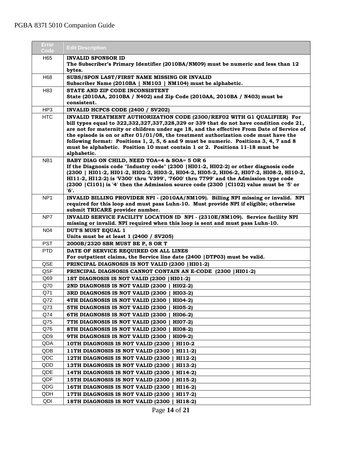| Error<br>Code   | <b>Edit Description</b>                                                                                                                                                                                                                                                                                                                                                                                                                                                                                                                          |
|-----------------|--------------------------------------------------------------------------------------------------------------------------------------------------------------------------------------------------------------------------------------------------------------------------------------------------------------------------------------------------------------------------------------------------------------------------------------------------------------------------------------------------------------------------------------------------|
| H65             | <b>INVALID SPONSOR ID</b><br>The Subscriber's Primary Identifier (2010BA/NM09) must be numeric and less than 12                                                                                                                                                                                                                                                                                                                                                                                                                                  |
| H68             | bytes.<br>SUBS/SPON LAST/FIRST NAME MISSING OR INVALID<br>Subscriber Name (2010BA   NM103   NM104) must be alphabetic.                                                                                                                                                                                                                                                                                                                                                                                                                           |
| H <sub>83</sub> | STATE AND ZIP CODE INCONSISTENT                                                                                                                                                                                                                                                                                                                                                                                                                                                                                                                  |
|                 | State (2010AA, 2010BA / N402) and Zip Code (2010AA, 2010BA / N403) must be<br>consistent.                                                                                                                                                                                                                                                                                                                                                                                                                                                        |
| HP3             | INVALID HCPCS CODE (2400 / SV202)                                                                                                                                                                                                                                                                                                                                                                                                                                                                                                                |
| <b>HTC</b>      | INVALID TREATMENT AUTHORIZATION CODE (2300/REF02 WITH G1 QUALIFIER) For<br>bill types equal to 322,332,327,337,328,329 or 339 that do not have condition code 21,<br>are not for maternity or children under age 18, and the effective From Date of Service of<br>the episode is on or after $01/01/08$ , the treatment authorization code must have the<br>following format: Positions 1, 2, 5, 6 and 9 must be numeric. Positions 3, 4, 7 and 8<br>must be alphabetic. Position 10 must contain 1 or 2. Positions 11-18 must be<br>alphabetic. |
| NB <sub>1</sub> | BABY DIAG ON CHILD, NEED TOA=4 & SOA= 5 OR 6<br>If the Diagnosis code "Industry code" (2300   HI01-2, HI02-2) or other diagnosis code<br>(2300   HI01-2, HI01-2, HI02-2, HI03-2, HI04-2, HI05-2, HI06-2, HI07-2, HI08-2, HI10-2,<br>HI11-2, HI12-2) is 'V300' thru 'V399', '7600' thru 7799' and the Admission type code<br>$(2300 \mid C1101)$ is '4' then the Admission source code $(2300 \mid C1102)$ value must be '5' or<br>'б'.                                                                                                           |
| NP <sub>1</sub> | INVALID BILLING PROVIDER NPI - (2010AA/NM109). Billing NPI missing or invalid. NPI<br>required for this loop and must pass Luhn-10. Must provide NPI if eligible; otherwise<br>submit TRICARE provider number.                                                                                                                                                                                                                                                                                                                                   |
| NP7             | INVALID SERVICE FACILITY LOCATION ID NPI - (2310E/NM109). Service facility NPI<br>missing or invalid. NPI required when this loop is sent and must pass Luhn-10.                                                                                                                                                                                                                                                                                                                                                                                 |
| N04             | <b>DUT'S MUST EQUAL 1</b>                                                                                                                                                                                                                                                                                                                                                                                                                                                                                                                        |
| <b>PST</b>      | Units must be at least 1 (2400 / SV205)<br>2000B/2320 SBR MUST BE P, S OR T                                                                                                                                                                                                                                                                                                                                                                                                                                                                      |
| <b>PTD</b>      | DATE OF SERVICE REQUIRED ON ALL LINES                                                                                                                                                                                                                                                                                                                                                                                                                                                                                                            |
|                 | For outpatient claims, the Service line date (2400   DTP03) must be valid.                                                                                                                                                                                                                                                                                                                                                                                                                                                                       |
| QSE             | PRINCIPAL DIAGNOSIS IS NOT VALID (2300   HI01-2)                                                                                                                                                                                                                                                                                                                                                                                                                                                                                                 |
| QSF             | PRINCIPAL DIAGNOSIS CANNOT CONTAIN AN E-CODE (2300   HI01-2)                                                                                                                                                                                                                                                                                                                                                                                                                                                                                     |
| Q69             | 1ST DIAGNOSIS IS NOT VALID (2300   HI01-2)                                                                                                                                                                                                                                                                                                                                                                                                                                                                                                       |
| Q70             | 2ND DIAGNOSIS IS NOT VALID (2300  <br>$HIO2-2)$                                                                                                                                                                                                                                                                                                                                                                                                                                                                                                  |
| Q71             | 3RD DIAGNOSIS IS NOT VALID (2300  <br>HI03-2)                                                                                                                                                                                                                                                                                                                                                                                                                                                                                                    |
| Q72             | 4TH DIAGNOSIS IS NOT VALID (2300)<br>HI04-2)                                                                                                                                                                                                                                                                                                                                                                                                                                                                                                     |
| Q73             | 5TH DIAGNOSIS IS NOT VALID (2300 )<br>$HIO5-2)$                                                                                                                                                                                                                                                                                                                                                                                                                                                                                                  |
| Q74             | 6TH DIAGNOSIS IS NOT VALID (2300)<br>HI06-2)                                                                                                                                                                                                                                                                                                                                                                                                                                                                                                     |
| Q75             | 7TH DIAGNOSIS IS NOT VALID (2300  <br>HI07-2)                                                                                                                                                                                                                                                                                                                                                                                                                                                                                                    |
| Q76             | 8TH DIAGNOSIS IS NOT VALID (2300   HI08-2)                                                                                                                                                                                                                                                                                                                                                                                                                                                                                                       |
| QD9             | 9TH DIAGNOSIS IS NOT VALID (2300   HI09-2)                                                                                                                                                                                                                                                                                                                                                                                                                                                                                                       |
| QDA             | 10TH DIAGNOSIS IS NOT VALID (2300  <br>HI10-2                                                                                                                                                                                                                                                                                                                                                                                                                                                                                                    |
| QDB             | 11TH DIAGNOSIS IS NOT VALID (2300  <br>$HI11-2)$                                                                                                                                                                                                                                                                                                                                                                                                                                                                                                 |
| QDC             | 12TH DIAGNOSIS IS NOT VALID (2300<br>$HI12-2)$                                                                                                                                                                                                                                                                                                                                                                                                                                                                                                   |
| QDD             | 13TH DIAGNOSIS IS NOT VALID (2300)<br>HI13-2)                                                                                                                                                                                                                                                                                                                                                                                                                                                                                                    |
| QDE             | 14TH DIAGNOSIS IS NOT VALID (2300  <br>HI14-2)                                                                                                                                                                                                                                                                                                                                                                                                                                                                                                   |
| QDF             | 15TH DIAGNOSIS IS NOT VALID (2300  <br>$HI15-2)$                                                                                                                                                                                                                                                                                                                                                                                                                                                                                                 |
| QDG             | 16TH DIAGNOSIS IS NOT VALID (2300  <br>HI16-2)                                                                                                                                                                                                                                                                                                                                                                                                                                                                                                   |
| QDH             | 17TH DIAGNOSIS IS NOT VALID (2300  <br>HI17-2)                                                                                                                                                                                                                                                                                                                                                                                                                                                                                                   |
| QDI             | 18TH DIAGNOSIS IS NOT VALID (2300  <br>$HI18-2)$                                                                                                                                                                                                                                                                                                                                                                                                                                                                                                 |

Page **14** of **21**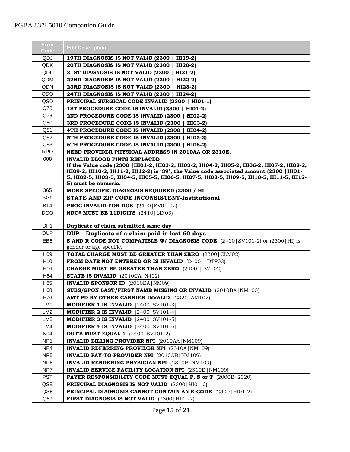## PGBA 837I 5010 Companion Guide

| Error<br>Code   | <b>Edit Description</b>                                                                                                                                                              |
|-----------------|--------------------------------------------------------------------------------------------------------------------------------------------------------------------------------------|
| QDJ             | 19TH DIAGNOSIS IS NOT VALID (2300   HI19-2)                                                                                                                                          |
| QDK             | 20TH DIAGNOSIS IS NOT VALID (2300  <br>HI20-2)                                                                                                                                       |
| QDL             | 21ST DIAGNOSIS IS NOT VALID (2300  <br>$HI21-2)$                                                                                                                                     |
| QDM             | 22ND DIAGNOSIS IS NOT VALID (2300  <br>$HI22-2)$                                                                                                                                     |
| QDN             | 23RD DIAGNOSIS IS NOT VALID (2300  <br>$HI23-2)$                                                                                                                                     |
| QDO             | 24TH DIAGNOSIS IS NOT VALID (2300  <br>$HI24-2)$                                                                                                                                     |
| QSD             | PRINCIPAL SURGICAL CODE INVALID (2300   HIO1-1)                                                                                                                                      |
| Q78             | 1ST PROCEDURE CODE IS INVALID (2300   HI01-2)                                                                                                                                        |
| Q79             | 2ND PROCEDURE CODE IS INVALID (2300   HI02-2)                                                                                                                                        |
| Q80             | 3RD PROCEDURE CODE IS INVALID (2300)<br>HI03-2)                                                                                                                                      |
| Q81             | 4TH PROCEDURE CODE IS INVALID (2300)<br>$HIO4-2)$                                                                                                                                    |
| Q82             | 5TH PROCEDURE CODE IS INVALID (2300  <br><b>HI05-2)</b>                                                                                                                              |
| Q83             | 6TH PROCEDURE CODE IS INVALID (2300  <br>HI06-2)                                                                                                                                     |
| <b>RPO</b>      | NEED PROVIDER PHYSICAL ADDRESS IN 2010AA OR 2310E.                                                                                                                                   |
| 008             | <b>INVALID BLOOD PINTS REPLACED</b>                                                                                                                                                  |
|                 | If the Value code (2300   HI01-2, HI02-2, HI03-2, HI04-2, HI05-2, HI06-2, HI07-2, HI08-2,<br>HI09-2, HI10-2, HI11-2, HI12-2) is '39', the Value code associated amount (2300   HI01- |
|                 | 5, HI02-5, HI03-5, HI04-5, HI05-5, HI06-5, HI07-5, HI08-5, HI09-5, HI10-5, HI11-5, HI12-                                                                                             |
|                 | 5) must be numeric.                                                                                                                                                                  |
| 365             | MORE SPECIFIC DIAGNOSIS REQUIRED (2300 / HI)                                                                                                                                         |
| BG <sub>5</sub> | STATE AND ZIP CODE INCONSISTENT-Institutional                                                                                                                                        |
| BT4             | <b>PROC INVALID FOR DOS</b> $(2400   SVA01-02)$                                                                                                                                      |
| DGQ             | NDC# MUST BE 11DIGITS (2410   LINO3)                                                                                                                                                 |
| DP <sub>1</sub> | Duplicate of claim submitted same day                                                                                                                                                |
| <b>DUP</b>      | DUP - Duplicate of a claim paid in last 60 days                                                                                                                                      |
| EB6             | <b>S AND R CODE NOT COMPATIBLE W/ DIAGNOSIS CODE</b> $(2400   \text{SV101-2})$ or $(2300   \text{HI})$ is                                                                            |
|                 | gender or age specific.                                                                                                                                                              |
| H <sub>09</sub> | TOTAL CHARGE MUST BE GREATER THAN ZERO (2300) CLM02)                                                                                                                                 |
| H <sub>10</sub> | <b>FROM DATE NOT ENTERED OR IS INVALID (2400   DTP03)</b>                                                                                                                            |
| H <sub>16</sub> | <b>CHARGE MUST BE GREATER THAN ZERO</b> (2400)<br>SV102)                                                                                                                             |
| H64             | <b>STATE IS INVALID</b> (2010CA   N402)                                                                                                                                              |
| H65             | <b>INVALID SPONSOR ID</b> (2010BA) NM09)                                                                                                                                             |
| H68             | SUBS/SPON LAST/FIRST NAME MISSING OR INVALID (2010BA NM103)                                                                                                                          |
| H76             | AMT PD BY OTHER CARRIER INVALID (2320   AMT02)                                                                                                                                       |
| LM1             | <b>MODIFIER 1 IS INVALID</b> $[2400 \text{SV}101-3]$                                                                                                                                 |
| LM <sub>2</sub> | MODIFIER 2 IS INVALID [2400] SV101-4]                                                                                                                                                |
| LM3             | <b>MODIFIER 3 IS INVALID</b> $[2400 SV101-5]$                                                                                                                                        |
| LM4             | MODIFIER 4 IS INVALID $[2400 SVI01-6]$                                                                                                                                               |
| N04             | <b>DUT'S MUST EQUAL 1</b> $(2400   SV101-2)$                                                                                                                                         |
| NP1             | INVALID BILLING PROVIDER NPI (2010AA   NM109)                                                                                                                                        |
| NP4             | <b>INVALID REFERRING PROVIDER NPI</b> (2310A   NM109)                                                                                                                                |
| NP <sub>5</sub> | <b>INVALID PAY-TO-PROVIDER NPI</b> (2010AB   NM109)                                                                                                                                  |
| NP <sub>6</sub> | <b>INVALID RENDERING PHYSICIAN NPI</b> (2310B   NM109)                                                                                                                               |
| NP7             | <b>INVALID SERVICE FACILITY LOCATION NPI</b> (2310D) NM109)                                                                                                                          |
| <b>PST</b>      | <b>PAYER RESPONSIBILITY CODE MUST EQUAL P, S or T</b> (2000B   2320)                                                                                                                 |
| QSE             | <b>PRINCIPAL DIAGNOSIS IS NOT VALID</b> (2300   HI01-2)                                                                                                                              |
| QSF             | <b>PRINCIPAL DIAGNOSIS CANNOT CONTAIN AN E-CODE</b> (2300   HI01-2)                                                                                                                  |
| Q69             | <b>FIRST DIAGNOSIS IS NOT VALID</b> $(2300)$ HI01-2)                                                                                                                                 |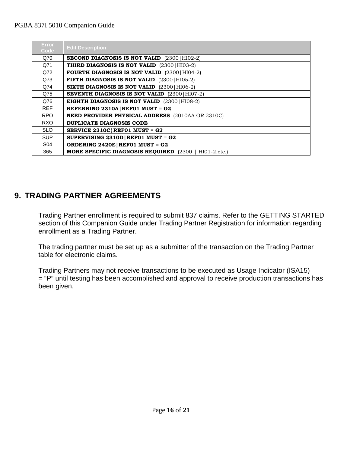#### PGBA 837I 5010 Companion Guide

| Error<br>Code | <b>Edit Description</b>                                          |
|---------------|------------------------------------------------------------------|
| Q70           | <b>SECOND DIAGNOSIS IS NOT VALID</b> (2300   HI02-2)             |
| Q71           | <b>THIRD DIAGNOSIS IS NOT VALID</b> (2300   HI03-2)              |
| Q72           | <b>FOURTH DIAGNOSIS IS NOT VALID</b> (2300   HI04-2)             |
| Q73           | FIFTH DIAGNOSIS IS NOT VALID (2300   HI05-2)                     |
| Q74           | <b>SIXTH DIAGNOSIS IS NOT VALID</b> (2300   HI06-2)              |
| Q75           | <b>SEVENTH DIAGNOSIS IS NOT VALID</b> (2300   HI07-2)            |
| Q76           | <b>EIGHTH DIAGNOSIS IS NOT VALID</b> (2300) HI08-2)              |
| <b>REF</b>    | REFERRING $2310A$ REF01 MUST = G2                                |
| <b>RPO</b>    | <b>NEED PROVIDER PHYSICAL ADDRESS</b> (2010AA OR 2310C)          |
| <b>RXO</b>    | DUPLICATE DIAGNOSIS CODE                                         |
| <b>SLO</b>    | SERVICE $2310C$ REF01 MUST = G2                                  |
| <b>SUP</b>    | SUPERVISING $2310D$ REF01 MUST = G2                              |
| S04           | ORDERING $2420E$ REF01 MUST = G2                                 |
| 365           | <b>MORE SPECIFIC DIAGNOSIS REQUIRED</b> (2300)<br>$HIO1-2, etc.$ |

# <span id="page-15-0"></span>**9. TRADING PARTNER AGREEMENTS**

Trading Partner enrollment is required to submit 837 claims. Refer to the GETTING STARTED section of this Companion Guide under Trading Partner Registration for information regarding enrollment as a Trading Partner.

The trading partner must be set up as a submitter of the transaction on the Trading Partner table for electronic claims.

Trading Partners may not receive transactions to be executed as Usage Indicator (ISA15) = "P" until testing has been accomplished and approval to receive production transactions has been given.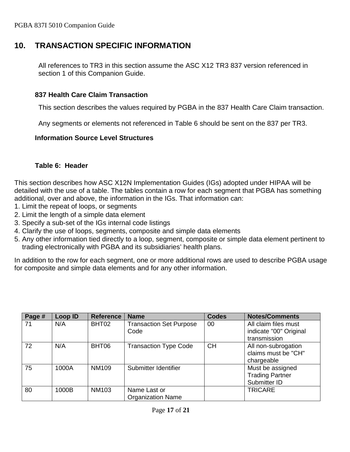## <span id="page-16-0"></span>**10. TRANSACTION SPECIFIC INFORMATION**

All references to TR3 in this section assume the ASC X12 TR3 837 version referenced in section 1 of this Companion Guide.

#### <span id="page-16-1"></span>**837 Health Care Claim Transaction**

This section describes the values required by PGBA in the 837 Health Care Claim transaction.

Any segments or elements not referenced in Table 6 should be sent on the 837 per TR3.

#### <span id="page-16-2"></span>**Information Source Level Structures**

#### **Table 6: Header**

<span id="page-16-3"></span>This section describes how ASC X12N Implementation Guides (IGs) adopted under HIPAA will be detailed with the use of a table. The tables contain a row for each segment that PGBA has something additional, over and above, the information in the IGs. That information can:

- 1. Limit the repeat of loops, or segments
- 2. Limit the length of a simple data element
- 3. Specify a sub-set of the IGs internal code listings
- 4. Clarify the use of loops, segments, composite and simple data elements
- 5. Any other information tied directly to a loop, segment, composite or simple data element pertinent to trading electronically with PGBA and its subsidiaries' health plans.

In addition to the row for each segment, one or more additional rows are used to describe PGBA usage for composite and simple data elements and for any other information.

| Page # | Loop ID | <b>Reference</b> | <b>Name</b>                    | <b>Codes</b> | <b>Notes/Comments</b>  |
|--------|---------|------------------|--------------------------------|--------------|------------------------|
| 71     | N/A     | BHT02            | <b>Transaction Set Purpose</b> | 00           | All claim files must   |
|        |         |                  | Code                           |              | indicate "00" Original |
|        |         |                  |                                |              | transmission           |
| 72     | N/A     | BHT06            | <b>Transaction Type Code</b>   | <b>CH</b>    | All non-subrogation    |
|        |         |                  |                                |              | claims must be "CH"    |
|        |         |                  |                                |              | chargeable             |
| 75     | 1000A   | <b>NM109</b>     | Submitter Identifier           |              | Must be assigned       |
|        |         |                  |                                |              | <b>Trading Partner</b> |
|        |         |                  |                                |              | Submitter ID           |
| 80     | 1000B   | <b>NM103</b>     | Name Last or                   |              | <b>TRICARE</b>         |
|        |         |                  | <b>Organization Name</b>       |              |                        |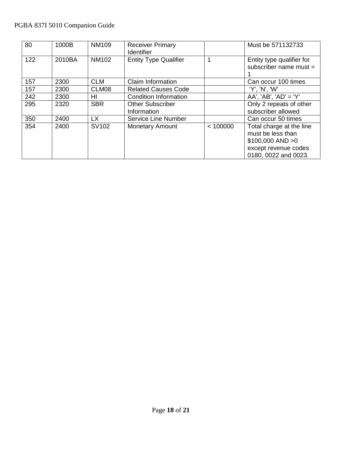## PGBA 837I 5010 Companion Guide

| 80  | 1000B  | <b>NM109</b> | <b>Receiver Primary</b><br><b>Identifier</b> |          | Must be 571132733                                                                                                    |
|-----|--------|--------------|----------------------------------------------|----------|----------------------------------------------------------------------------------------------------------------------|
| 122 | 2010BA | <b>NM102</b> | <b>Entity Type Qualifier</b>                 |          | Entity type qualifier for<br>subscriber name must $=$                                                                |
| 157 | 2300   | <b>CLM</b>   | Claim Information                            |          | Can occur 100 times                                                                                                  |
| 157 | 2300   | CLM08        | <b>Related Causes Code</b>                   |          | 'Y', 'N', 'W'                                                                                                        |
| 242 | 2300   | ΗI           | <b>Condition Information</b>                 |          | $AA'$ , 'AB', 'AD' = 'Y'                                                                                             |
| 295 | 2320   | <b>SBR</b>   | <b>Other Subscriber</b><br>Information       |          | Only 2 repeats of other<br>subscriber allowed                                                                        |
| 350 | 2400   | <b>LX</b>    | <b>Service Line Number</b>                   |          | Can occur 50 times                                                                                                   |
| 354 | 2400   | SV102        | <b>Monetary Amount</b>                       | < 100000 | Total charge at the line<br>must be less than<br>$$100,000$ AND $>0$<br>except revenue codes<br>0180, 0022 and 0023. |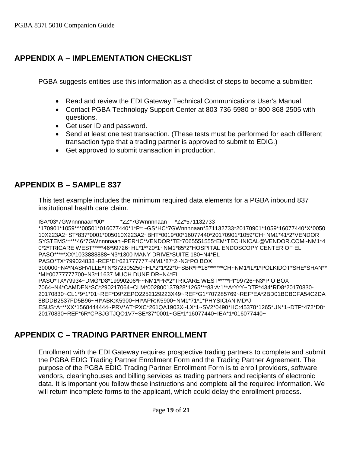# <span id="page-18-0"></span>**APPENDIX A – IMPLEMENTATION CHECKLIST**

PGBA suggests entities use this information as a checklist of steps to become a submitter:

- Read and review the EDI Gateway Technical Communications User's Manual.
- Contact PGBA Technology Support Center at 803-736-5980 or 800-868-2505 with questions.
- Get user ID and password.
- Send at least one test transaction. (These tests must be performed for each different transaction type that a trading partner is approved to submit to EDIG.)
- Get approved to submit transaction in production.

# <span id="page-18-1"></span>**APPENDIX B – SAMPLE 837**

This test example includes the minimum required data elements for a PGBA inbound 837 institutional health care claim.

ISA\*03\*7GWnnnnaan\*00\* \*ZZ\*7GWnnnnaan \*ZZ\*571132733 \*170901\*1059\*^\*00501\*016077440\*1\*P\*:~GS\*HC\*7GWnnnnaan\*571132733\*20170901\*1059\*16077440\*X\*0050 10X223A2~ST\*837\*0001\*005010X223A2~BHT\*0019\*00\*16077440\*20170901\*1059\*CH~NM1\*41\*2\*VENDOR SYSTEMS\*\*\*\*\*46\*7GWnnnnaan~PER\*IC\*VENDOR\*TE\*7065551555\*EM\*TECHNICAL@VENDOR.COM~NM1\*4 0\*2\*TRICARE WEST\*\*\*\*\*46\*99726~HL\*1\*\*20\*1~NM1\*85\*2\*HOSPITAL ENDOSCOPY CENTER OF EL PASO\*\*\*\*\*XX\*1033888888~N3\*1300 MANY DRIVE\*SUITE 180~N4\*EL PASO\*TX\*799024838~REF\*EI\*621777777~NM1\*87\*2~N3\*PO BOX 300000~N4\*NASHVILLE\*TN\*372305250~HL\*2\*1\*22\*0~SBR\*P\*18\*\*\*\*\*\*\*CH~NM1\*IL\*1\*POLKIDOT\*SHE\*SHAN\*\* \*MI\*00777777700~N3\*11637 MUCH DUNE DR~N4\*EL PASO\*TX\*79934~DMG\*D8\*19990206\*F~NM1\*PR\*2\*TRICARE WEST\*\*\*\*\*PI\*99726~N3\*P O BOX 7064~N4\*CAMDEN\*SC\*290217064~CLM\*002800137928\*1265\*\*\*83:A:1\*\*A\*Y\*Y~DTP\*434\*RD8\*20170830- 20170830~CL1\*9\*1\*01~REF\*D9\*ZEPO2252129223X49~REF\*G1\*707285769~REF\*EA\*2BD01BCBCFA54C2DA 8BDDB2537FD5B96~HI\*ABK:K5900~HI\*APR:K5900~NM1\*71\*1\*PHYSICIAN MD\*J ESUS\*A\*\*\*XX\*1568444444~PRV\*AT\*PXC\*261QA1903X~LX\*1~SV2\*0490\*HC:45378\*1265\*UN\*1~DTP\*472\*D8\* 20170830~REF\*6R\*CPSJGTJQO1V7~SE\*37\*0001~GE\*1\*16077440~IEA\*1\*016077440~

# <span id="page-18-2"></span>**APPENDIX C – TRADING PARTNER ENROLLMENT**

Enrollment with the EDI Gateway requires prospective trading partners to complete and submit the PGBA EDIG Trading Partner Enrollment Form and the Trading Partner Agreement. The purpose of the PGBA EDIG Trading Partner Enrollment Form is to enroll providers, software vendors, clearinghouses and billing services as trading partners and recipients of electronic data. It is important you follow these instructions and complete all the required information. We will return incomplete forms to the applicant, which could delay the enrollment process.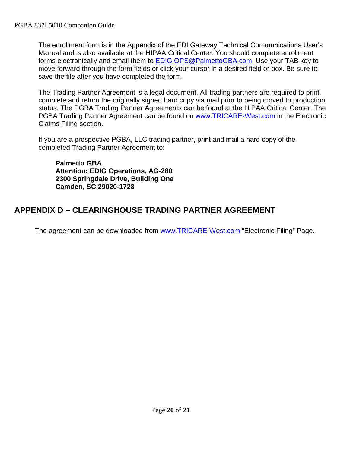The enrollment form is in the Appendix of the EDI Gateway Technical Communications User's Manual and is also available at the [HIPAA Critical Center.](http://www.hipaacriticalcenter.com/) You should complete enrollment forms electronically and email them to [EDIG.OPS@PalmettoGBA.com.](mailto:EDIG.OPS@PalmettoGBA.com.) Use your TAB key to move forward through the form fields or click your cursor in a desired field or box. Be sure to save the file after you have completed the form.

The Trading Partner Agreement is a legal document. All trading partners are required to print, complete and return the originally signed hard copy via mail prior to being moved to production status. The PGBA Trading Partner Agreements can be found at the [HIPAA Critical Center.](http://www.hipaacriticalcenter.com/) The PGBA Trading Partner Agreement can be found on [www.TRICARE-West.com](http://www.mytricare.com/) in the Electronic Claims Filing section.

If you are a prospective PGBA, LLC trading partner, print and mail a hard copy of the completed Trading Partner Agreement to:

**Palmetto GBA Attention: EDIG Operations, AG-280 2300 Springdale Drive, Building One Camden, SC 29020-1728**

# <span id="page-19-0"></span>**APPENDIX D – CLEARINGHOUSE TRADING PARTNER AGREEMENT**

The agreement can be downloaded from [www.TRICARE-West.com](http://www.mytricare.com/) "Electronic Filing" Page.